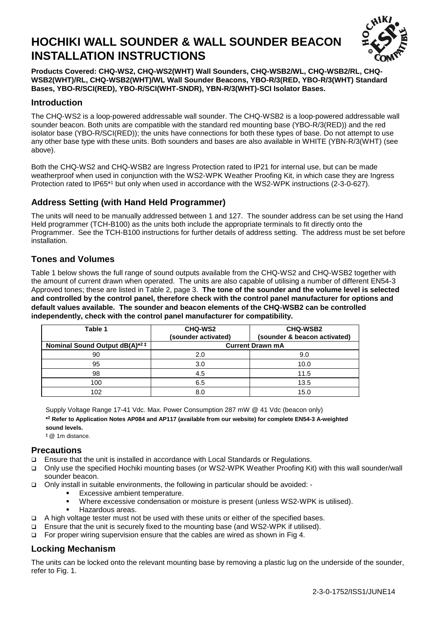# **HOCHIKI WALL SOUNDER & WALL SOUNDER BEACON INSTALLATION INSTRUCTIONS**



**Products Covered: CHQ-WS2, CHQ-WS2(WHT) Wall Sounders, CHQ-WSB2/WL, CHQ-WSB2/RL, CHQ-WSB2(WHT)/RL, CHQ-WSB2(WHT)/WL Wall Sounder Beacons, YBO-R/3(RED, YBO-R/3(WHT) Standard Bases, YBO-R/SCI(RED), YBO-R/SCI(WHT-SNDR), YBN-R/3(WHT)-SCI Isolator Bases.**

#### **Introduction**

The CHQ-WS2 is a loop-powered addressable wall sounder. The CHQ-WSB2 is a loop-powered addressable wall sounder beacon. Both units are compatible with the standard red mounting base (YBO-R/3(RED)) and the red isolator base (YBO-R/SCI(RED)); the units have connections for both these types of base. Do not attempt to use any other base type with these units. Both sounders and bases are also available in WHITE (YBN-R/3(WHT) (see above).

Both the CHQ-WS2 and CHQ-WSB2 are Ingress Protection rated to IP21 for internal use, but can be made weatherproof when used in conjunction with the WS2-WPK Weather Proofing Kit, in which case they are Ingress Protection rated to IP65\*1 but only when used in accordance with the WS2-WPK instructions (2-3-0-627).

### **Address Setting (with Hand Held Programmer)**

The units will need to be manually addressed between 1 and 127. The sounder address can be set using the Hand Held programmer (TCH-B100) as the units both include the appropriate terminals to fit directly onto the Programmer. See the TCH-B100 instructions for further details of address setting. The address must be set before installation.

#### **Tones and Volumes**

Table 1 below shows the full range of sound outputs available from the CHQ-WS2 and CHQ-WSB2 together with the amount of current drawn when operated. The units are also capable of utilising a number of different EN54-3 Approved tones; these are listed in Table 2, page 3. **The tone of the sounder and the volume level is selected and controlled by the control panel, therefore check with the control panel manufacturer for options and default values available. The sounder and beacon elements of the CHQ-WSB2 can be controlled independently, check with the control panel manufacturer for compatibility.**

| Table 1                                   | <b>CHQ-WS2</b><br>(sounder activated) | <b>CHQ-WSB2</b><br>(sounder & beacon activated) |
|-------------------------------------------|---------------------------------------|-------------------------------------------------|
| Nominal Sound Output dB(A) <sup>*2‡</sup> |                                       | <b>Current Drawn mA</b>                         |
| 90                                        | 2.0                                   | 9.0                                             |
| 95                                        | 3.0                                   | 10.0                                            |
| 98                                        | 4.5                                   | 11.5                                            |
| 100                                       | 6.5                                   | 13.5                                            |
| 102                                       |                                       | 15.0                                            |

Supply Voltage Range 17-41 Vdc. Max. Power Consumption 287 mW @ 41 Vdc (beacon only)

**\* <sup>2</sup> Refer to Application Notes AP084 and AP117 (available from our website) for complete EN54-3 A-weighted sound levels.**

‡ @ 1m distance.

#### **Precautions**

- Ensure that the unit is installed in accordance with Local Standards or Regulations.
- Only use the specified Hochiki mounting bases (or WS2-WPK Weather Proofing Kit) with this wall sounder/wall sounder beacon.
- Only install in suitable environments, the following in particular should be avoided:
	- **Excessive ambient temperature.**
	- Where excessive condensation or moisture is present (unless WS2-WPK is utilised).
	- Hazardous areas.
- A high voltage tester must not be used with these units or either of the specified bases.
- $\Box$  Ensure that the unit is securely fixed to the mounting base (and WS2-WPK if utilised).
- For proper wiring supervision ensure that the cables are wired as shown in Fig 4.

#### **Locking Mechanism**

The units can be locked onto the relevant mounting base by removing a plastic lug on the underside of the sounder, refer to Fig. 1.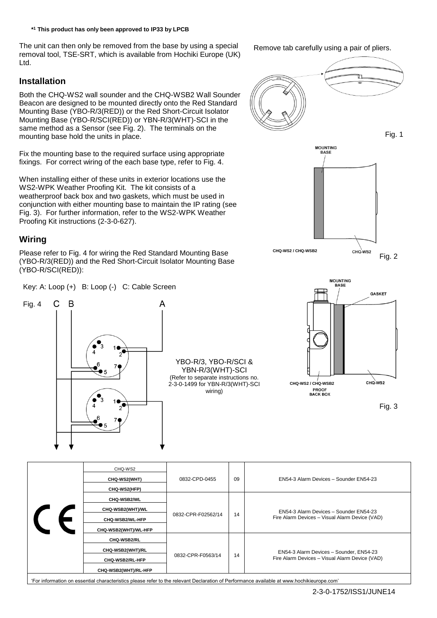**\* <sup>1</sup> This product has only been approved to IP33 by LPCB**

The unit can then only be removed from the base by using a special removal tool, TSE-SRT, which is available from Hochiki Europe (UK) Ltd.

#### **Installation**

Both the CHQ-WS2 wall sounder and the CHQ-WSB2 Wall Sounder Beacon are designed to be mounted directly onto the Red Standard Mounting Base (YBO-R/3(RED)) or the Red Short-Circuit Isolator Mounting Base (YBO-R/SCI(RED)) or YBN-R/3(WHT)-SCI in the same method as a Sensor (see Fig. 2). The terminals on the mounting base hold the units in place.

Fix the mounting base to the required surface using appropriate fixings. For correct wiring of the each base type, refer to Fig. 4.

When installing either of these units in exterior locations use the WS2-WPK Weather Proofing Kit. The kit consists of a weatherproof back box and two gaskets, which must be used in conjunction with either mounting base to maintain the IP rating (see Fig. 3). For further information, refer to the WS2-WPK Weather Proofing Kit instructions (2-3-0-627).

#### **Wiring**

Please refer to Fig. 4 for wiring the Red Standard Mounting Base (YBO-R/3(RED)) and the Red Short-Circuit Isolator Mounting Base (YBO-R/SCI(RED)):

Key: A: Loop (+) B: Loop (-) C: Cable Screen



YBO-R/3, YBO-R/SCI & YBN-R/3(WHT)-SCI (Refer to separate instructions no. 2-3-0-1499 for YBN-R/3(WHT)-SCI wiring)





| CHQ-WS2<br>CHQ-WS2(WHT)<br>CHQ-WS2(HFP)                                    | 0832-CPD-0455      | 09 | EN54-3 Alarm Devices - Sounder EN54-23                                                    |
|----------------------------------------------------------------------------|--------------------|----|-------------------------------------------------------------------------------------------|
| CHQ-WSB2/WL<br>CHQ-WSB2(WHT)/WL<br>CHQ-WSB2/WL-HFP<br>CHQ-WSB2(WHT)/WL-HFP | 0832-CPR-F02562/14 | 14 | EN54-3 Alarm Devices - Sounder EN54-23<br>Fire Alarm Devices - Visual Alarm Device (VAD)  |
| CHQ-WSB2/RL<br>CHQ-WSB2(WHT)/RL<br>CHQ-WSB2/RL-HFP<br>CHQ-WSB2(WHT)/RL-HFP | 0832-CPR-F0563/14  | 14 | EN54-3 Alarm Devices - Sounder, EN54-23<br>Fire Alarm Devices - Visual Alarm Device (VAD) |

'For information on essential characteristics please refer to the relevant Declaration of Performance available at www.hochikieurope.com'

Remove tab carefully using a pair of pliers.

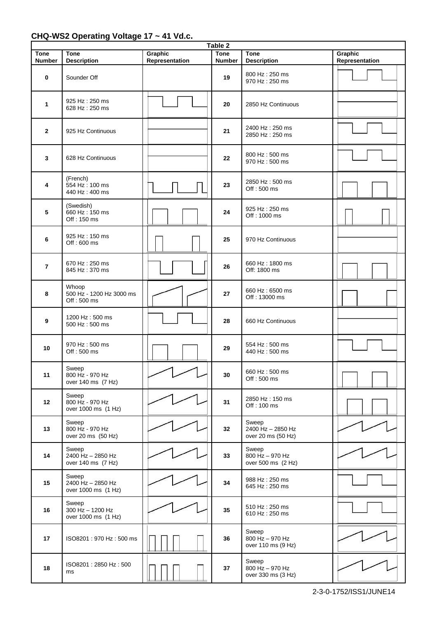## **CHQ-WS2 Operating Voltage 17 ~ 41 Vd.c.**

| Table 2                      |                                                   |                           |                              |                                                  |                           |  |  |  |
|------------------------------|---------------------------------------------------|---------------------------|------------------------------|--------------------------------------------------|---------------------------|--|--|--|
| <b>Tone</b><br><b>Number</b> | <b>Tone</b><br><b>Description</b>                 | Graphic<br>Representation | <b>Tone</b><br><b>Number</b> | <b>Tone</b><br><b>Description</b>                | Graphic<br>Representation |  |  |  |
| 0                            | Sounder Off                                       |                           | 19                           | 800 Hz: 250 ms<br>970 Hz: 250 ms                 |                           |  |  |  |
| 1                            | 925 Hz: 250 ms<br>628 Hz: 250 ms                  |                           | 20                           | 2850 Hz Continuous                               |                           |  |  |  |
| $\mathbf{2}$                 | 925 Hz Continuous                                 |                           | 21                           | 2400 Hz: 250 ms<br>2850 Hz: 250 ms               |                           |  |  |  |
| 3                            | 628 Hz Continuous                                 |                           | 22                           | 800 Hz: 500 ms<br>970 Hz: 500 ms                 |                           |  |  |  |
| 4                            | (French)<br>554 Hz: 100 ms<br>440 Hz: 400 ms      |                           | 23                           | 2850 Hz: 500 ms<br>Off: 500 ms                   |                           |  |  |  |
| 5                            | (Swedish)<br>660 Hz: 150 ms<br>Off: 150 ms        |                           | 24                           | 925 Hz: 250 ms<br>Off: 1000 ms                   |                           |  |  |  |
| 6                            | 925 Hz: 150 ms<br>Off: 600 ms                     |                           | 25                           | 970 Hz Continuous                                |                           |  |  |  |
| $\overline{7}$               | 670 Hz: 250 ms<br>845 Hz: 370 ms                  |                           | 26                           | 660 Hz: 1800 ms<br>Off: 1800 ms                  |                           |  |  |  |
| 8                            | Whoop<br>500 Hz - 1200 Hz 3000 ms<br>Off: 500 ms  |                           | 27                           | 660 Hz: 6500 ms<br>Off: 13000 ms                 |                           |  |  |  |
| 9                            | 1200 Hz: 500 ms<br>500 Hz: 500 ms                 |                           | 28                           | 660 Hz Continuous                                |                           |  |  |  |
| 10                           | 970 Hz: 500 ms<br>Off: 500 ms                     |                           | 29                           | 554 Hz: 500 ms<br>440 Hz: 500 ms                 |                           |  |  |  |
| 11                           | Sweep<br>800 Hz - 970 Hz<br>over 140 ms (7 Hz)    |                           | 30                           | 660 Hz: 500 ms<br>Off: 500 ms                    |                           |  |  |  |
| 12                           | Sweep<br>800 Hz - 970 Hz<br>over 1000 ms (1 Hz)   |                           | 31                           | 2850 Hz: 150 ms<br>Off: 100 ms                   |                           |  |  |  |
| 13                           | Sweep<br>800 Hz - 970 Hz<br>over 20 ms (50 Hz)    |                           | 32                           | Sweep<br>2400 Hz - 2850 Hz<br>over 20 ms (50 Hz) |                           |  |  |  |
| 14                           | Sweep<br>2400 Hz - 2850 Hz<br>over 140 ms (7 Hz)  |                           | 33                           | Sweep<br>800 Hz - 970 Hz<br>over 500 ms (2 Hz)   |                           |  |  |  |
| 15                           | Sweep<br>2400 Hz - 2850 Hz<br>over 1000 ms (1 Hz) |                           | 34                           | 988 Hz: 250 ms<br>645 Hz: 250 ms                 |                           |  |  |  |
| 16                           | Sweep<br>300 Hz - 1200 Hz<br>over 1000 ms (1 Hz)  |                           | 35                           | 510 Hz: 250 ms<br>610 Hz: 250 ms                 |                           |  |  |  |
| 17                           | ISO8201: 970 Hz: 500 ms                           |                           | 36                           | Sweep<br>800 Hz - 970 Hz<br>over 110 ms (9 Hz)   |                           |  |  |  |
| 18                           | ISO8201: 2850 Hz: 500<br>ms                       |                           | 37                           | Sweep<br>800 Hz - 970 Hz<br>over 330 ms (3 Hz)   |                           |  |  |  |